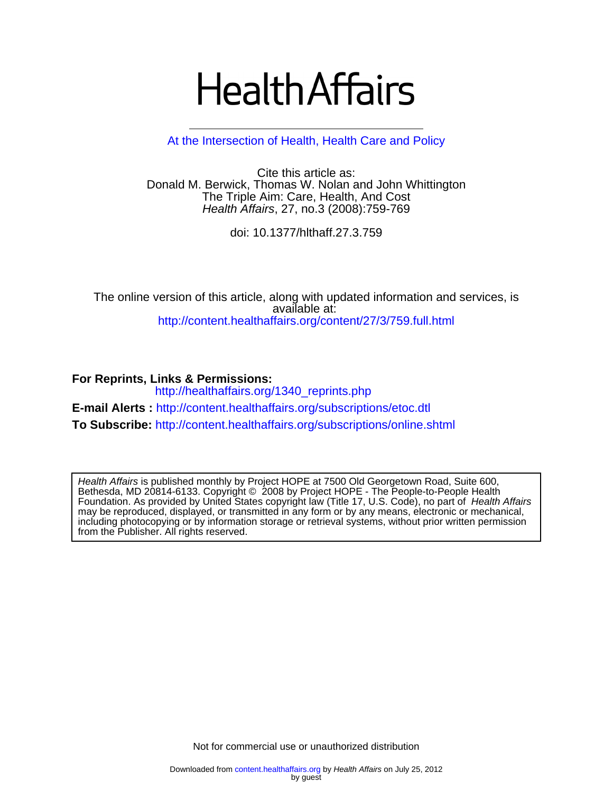# **Health Affairs**

[At the Intersection of Health, Health Care and Policy](http://www.healthaffairs.org)

Health Affairs, 27, no.3 (2008):759-769 The Triple Aim: Care, Health, And Cost Donald M. Berwick, Thomas W. Nolan and John Whittington Cite this article as:

doi: 10.1377/hlthaff.27.3.759

<http://content.healthaffairs.org/content/27/3/759.full.html> available at: The online version of this article, along with updated information and services, is

**For Reprints, Links & Permissions:**  [http://healthaffairs.org/1340\\_reprints.php](http://healthaffairs.org/1340_reprints.php) **E-mail Alerts :** <http://content.healthaffairs.org/subscriptions/etoc.dtl> **To Subscribe:** <http://content.healthaffairs.org/subscriptions/online.shtml>

from the Publisher. All rights reserved. including photocopying or by information storage or retrieval systems, without prior written permission may be reproduced, displayed, or transmitted in any form or by any means, electronic or mechanical, Foundation. As provided by United States copyright law (Title 17, U.S. Code), no part of Health Affairs Bethesda, MD 20814-6133. Copyright © 2008 by Project HOPE - The People-to-People Health Health Affairs is published monthly by Project HOPE at 7500 Old Georgetown Road, Suite 600,

Not for commercial use or unauthorized distribution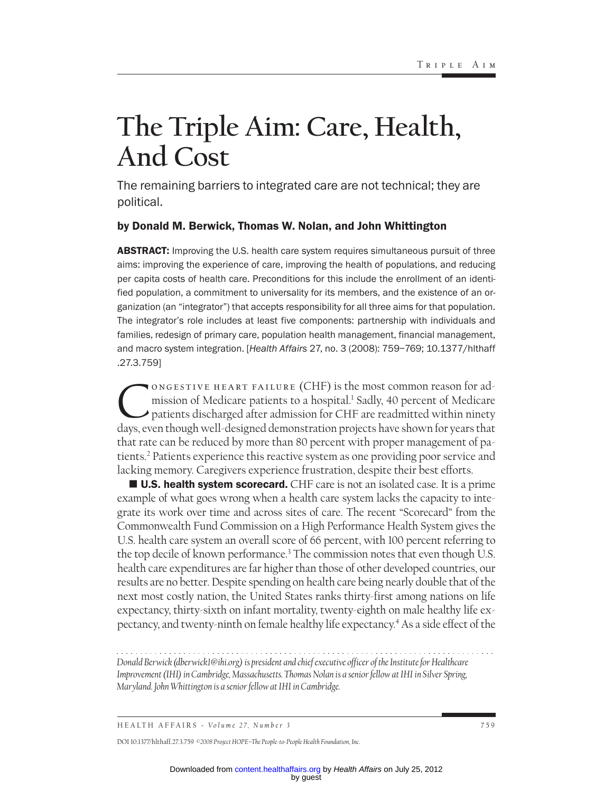# **The Triple Aim: Care, Health, And Cost**

The remaining barriers to integrated care are not technical; they are political.

#### by Donald M. Berwick, Thomas W. Nolan, and John Whittington

**ABSTRACT:** Improving the U.S. health care system requires simultaneous pursuit of three aims: improving the experience of care, improving the health of populations, and reducing per capita costs of health care. Preconditions for this include the enrollment of an identified population, a commitment to universality for its members, and the existence of an organization (an "integrator") that accepts responsibility for all three aims for that population. The integrator's role includes at least five components: partnership with individuals and families, redesign of primary care, population health management, financial management, and macro system integration. [*Health Affairs* 27, no. 3 (2008): 759–769; 10.1377/hlthaff .27.3.759]

ONGESTIVE HEART FAILURE (CHF) is the most common reason for ad-<br>mission of Medicare patients to a hospital.<sup>1</sup> Sadly, 40 percent of Medicare<br>patients discharged after admission for CHF are readmitted within ninety<br>days eve mission of Medicare patients to a hospital.<sup>1</sup> Sadly, 40 percent of Medicare patients discharged after admission for CHF are readmitted within ninety days, even though well-designed demonstration projects have shown for years that that rate can be reduced by more than 80 percent with proper management of patients.2 Patients experience this reactive system as one providing poor service and lacking memory. Caregivers experience frustration, despite their best efforts.

**U.S. health system scorecard.** CHF care is not an isolated case. It is a prime example of what goes wrong when a health care system lacks the capacity to integrate its work over time and across sites of care. The recent "Scorecard" from the Commonwealth Fund Commission on a High Performance Health System gives the U.S. health care system an overall score of 66 percent, with 100 percent referring to the top decile of known performance.3 The commission notes that even though U.S. health care expenditures are far higher than those of other developed countries, our results are no better. Despite spending on health care being nearly double that of the next most costly nation, the United States ranks thirty-first among nations on life expectancy, thirty-sixth on infant mortality, twenty-eighth on male healthy life expectancy, and twenty-ninth on female healthy life expectancy.4 As a side effect of the

*Donald Berwick (dberwick1@ihi.org) is president and chief executive officer of the Institute for Healthcare Improvement (IHI) in Cambridge, Massachusetts. Thomas Nolan is a senior fellow at IHI in Silver Spring, Maryland. John Whittington is a senior fellow at IHI in Cambridge.*

DOI 10.1377/hlthaff.27.3.759 *©2008 Project HOPE–The People-to-People Health Foundation, Inc.*

HEALTH AFFAIRS - *Volume 27, Number 3* 759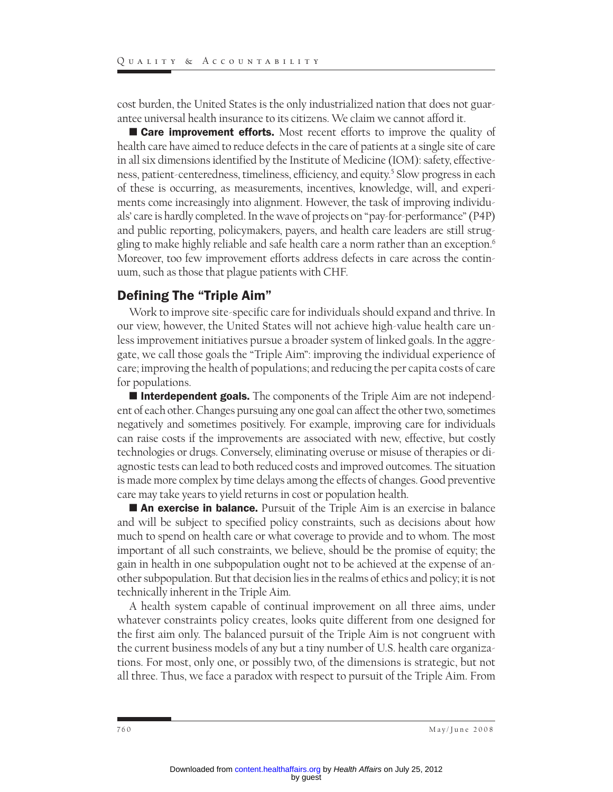cost burden, the United States is the only industrialized nation that does not guarantee universal health insurance to its citizens. We claim we cannot afford it.

**Care improvement efforts.** Most recent efforts to improve the quality of health care have aimed to reduce defects in the care of patients at a single site of care in all six dimensions identified by the Institute of Medicine (IOM): safety, effectiveness, patient-centeredness, timeliness, efficiency, and equity.<sup>5</sup> Slow progress in each of these is occurring, as measurements, incentives, knowledge, will, and experiments come increasingly into alignment. However, the task of improving individuals' care is hardly completed. In the wave of projects on "pay-for-performance" (P4P) and public reporting, policymakers, payers, and health care leaders are still struggling to make highly reliable and safe health care a norm rather than an exception.6 Moreover, too few improvement efforts address defects in care across the continuum, such as those that plague patients with CHF.

#### Defining The "Triple Aim"

Work to improve site-specific care for individuals should expand and thrive. In our view, however, the United States will not achieve high-value health care unless improvement initiatives pursue a broader system of linked goals. In the aggregate, we call those goals the "Triple Aim": improving the individual experience of care; improving the health of populations; and reducing the per capita costs of care for populations.

**Interdependent goals.** The components of the Triple Aim are not independent of each other. Changes pursuing any one goal can affect the other two, sometimes negatively and sometimes positively. For example, improving care for individuals can raise costs if the improvements are associated with new, effective, but costly technologies or drugs. Conversely, eliminating overuse or misuse of therapies or diagnostic tests can lead to both reduced costs and improved outcomes. The situation is made more complex by time delays among the effects of changes. Good preventive care may take years to yield returns in cost or population health.

**An exercise in balance.** Pursuit of the Triple Aim is an exercise in balance and will be subject to specified policy constraints, such as decisions about how much to spend on health care or what coverage to provide and to whom. The most important of all such constraints, we believe, should be the promise of equity; the gain in health in one subpopulation ought not to be achieved at the expense of another subpopulation. But that decision lies in the realms of ethics and policy; it is not technically inherent in the Triple Aim.

A health system capable of continual improvement on all three aims, under whatever constraints policy creates, looks quite different from one designed for the first aim only. The balanced pursuit of the Triple Aim is not congruent with the current business models of any but a tiny number of U.S. health care organizations. For most, only one, or possibly two, of the dimensions is strategic, but not all three. Thus, we face a paradox with respect to pursuit of the Triple Aim. From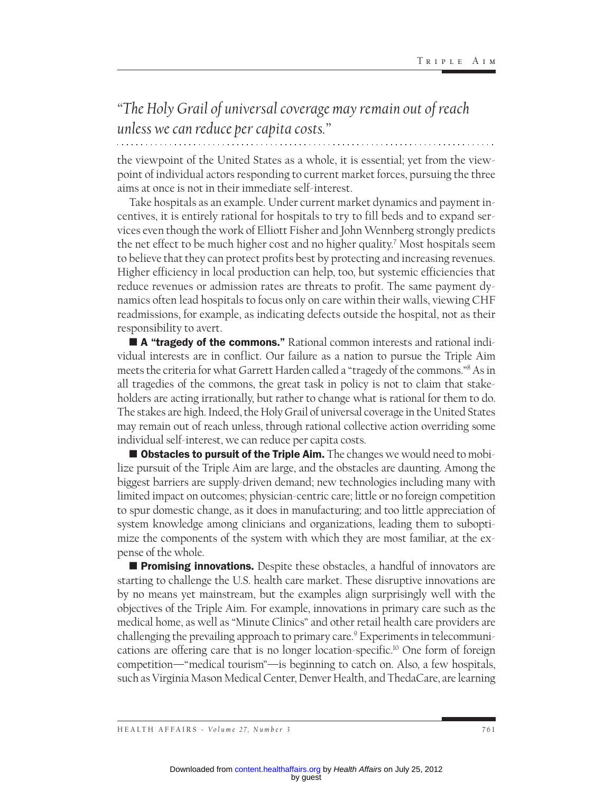### *"The Holy Grail of universal coverage may remain out of reach unless we can reduce per capita costs."*

the viewpoint of the United States as a whole, it is essential; yet from the viewpoint of individual actors responding to current market forces, pursuing the three aims at once is not in their immediate self-interest.

Take hospitals as an example. Under current market dynamics and payment incentives, it is entirely rational for hospitals to try to fill beds and to expand services even though the work of Elliott Fisher and John Wennberg strongly predicts the net effect to be much higher cost and no higher quality.7 Most hospitals seem to believe that they can protect profits best by protecting and increasing revenues. Higher efficiency in local production can help, too, but systemic efficiencies that reduce revenues or admission rates are threats to profit. The same payment dynamics often lead hospitals to focus only on care within their walls, viewing CHF readmissions, for example, as indicating defects outside the hospital, not as their responsibility to avert.

**A "tragedy of the commons."** Rational common interests and rational individual interests are in conflict. Our failure as a nation to pursue the Triple Aim meets the criteria for what Garrett Harden called a "tragedy of the commons."8 As in all tragedies of the commons, the great task in policy is not to claim that stakeholders are acting irrationally, but rather to change what is rational for them to do. The stakes are high. Indeed, the Holy Grail of universal coverage in the United States may remain out of reach unless, through rational collective action overriding some individual self-interest, we can reduce per capita costs.

 $\blacksquare$  Obstacles to pursuit of the Triple Aim. The changes we would need to mobilize pursuit of the Triple Aim are large, and the obstacles are daunting. Among the biggest barriers are supply-driven demand; new technologies including many with limited impact on outcomes; physician-centric care; little or no foreign competition to spur domestic change, as it does in manufacturing; and too little appreciation of system knowledge among clinicians and organizations, leading them to suboptimize the components of the system with which they are most familiar, at the expense of the whole.

**Promising innovations.** Despite these obstacles, a handful of innovators are starting to challenge the U.S. health care market. These disruptive innovations are by no means yet mainstream, but the examples align surprisingly well with the objectives of the Triple Aim. For example, innovations in primary care such as the medical home, as well as "Minute Clinics" and other retail health care providers are challenging the prevailing approach to primary care.9 Experiments in telecommunications are offering care that is no longer location-specific.10 One form of foreign competition—"medical tourism"—is beginning to catch on. Also, a few hospitals, such as Virginia Mason Medical Center, Denver Health, and ThedaCare, are learning

HEALTH AFFAIRS - *Volume 27, Number 3* 761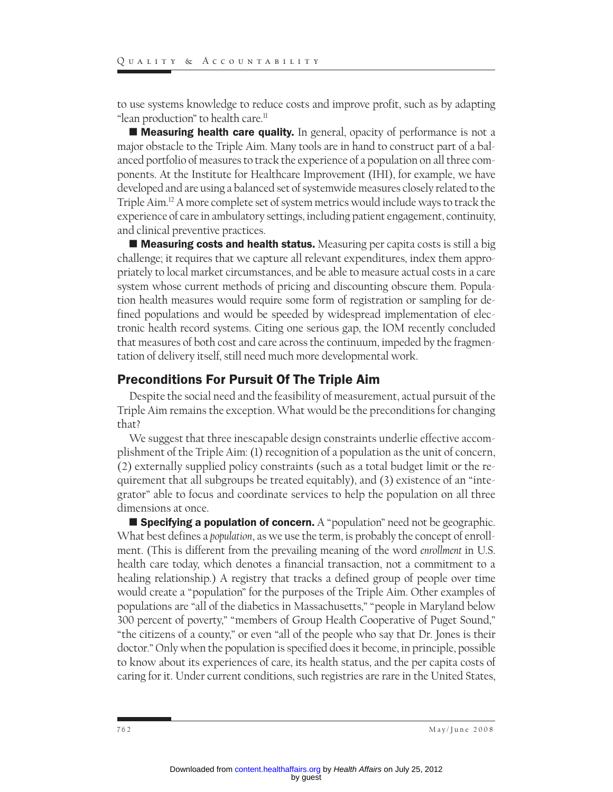to use systems knowledge to reduce costs and improve profit, such as by adapting "lean production" to health care.<sup>11</sup>

**I Measuring health care quality.** In general, opacity of performance is not a major obstacle to the Triple Aim. Many tools are in hand to construct part of a balanced portfolio of measures to track the experience of a population on all three components. At the Institute for Healthcare Improvement (IHI), for example, we have developed and are using a balanced set of systemwide measures closely related to the Triple Aim.12 A more complete set of system metrics would include ways to track the experience of care in ambulatory settings, including patient engagement, continuity, and clinical preventive practices.

 $\blacksquare$  Measuring costs and health status. Measuring per capita costs is still a big challenge; it requires that we capture all relevant expenditures, index them appropriately to local market circumstances, and be able to measure actual costs in a care system whose current methods of pricing and discounting obscure them. Population health measures would require some form of registration or sampling for defined populations and would be speeded by widespread implementation of electronic health record systems. Citing one serious gap, the IOM recently concluded that measures of both cost and care across the continuum, impeded by the fragmentation of delivery itself, still need much more developmental work.

#### Preconditions For Pursuit Of The Triple Aim

Despite the social need and the feasibility of measurement, actual pursuit of the Triple Aim remains the exception. What would be the preconditions for changing that?

We suggest that three inescapable design constraints underlie effective accomplishment of the Triple Aim: (1) recognition of a population as the unit of concern, (2) externally supplied policy constraints (such as a total budget limit or the requirement that all subgroups be treated equitably), and (3) existence of an "integrator" able to focus and coordinate services to help the population on all three dimensions at once.

**Specifying a population of concern.** A "population" need not be geographic. What best defines a *population*, as we use the term, is probably the concept of enrollment. (This is different from the prevailing meaning of the word *enrollment* in U.S. health care today, which denotes a financial transaction, not a commitment to a healing relationship.) A registry that tracks a defined group of people over time would create a "population" for the purposes of the Triple Aim. Other examples of populations are "all of the diabetics in Massachusetts," "people in Maryland below 300 percent of poverty," "members of Group Health Cooperative of Puget Sound," "the citizens of a county," or even "all of the people who say that Dr. Jones is their doctor." Only when the population is specified does it become, in principle, possible to know about its experiences of care, its health status, and the per capita costs of caring for it. Under current conditions, such registries are rare in the United States,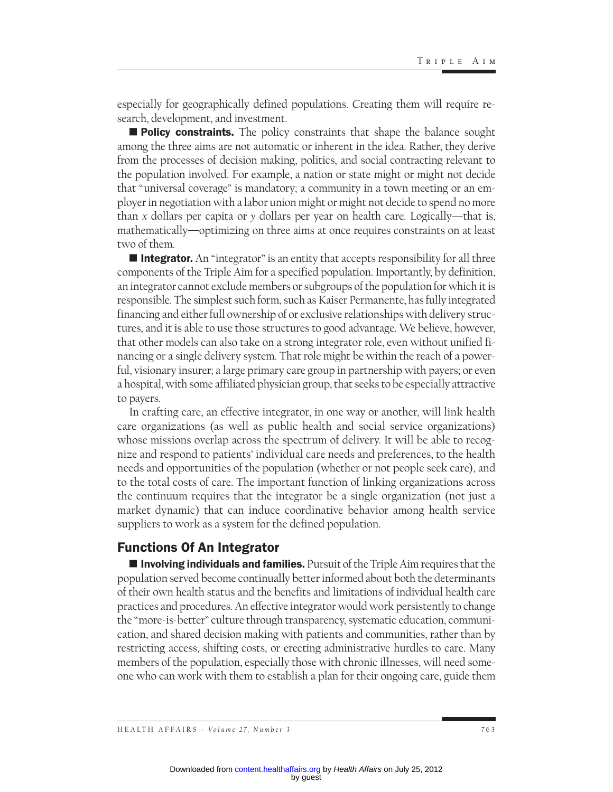especially for geographically defined populations. Creating them will require research, development, and investment.

**Policy constraints.** The policy constraints that shape the balance sought among the three aims are not automatic or inherent in the idea. Rather, they derive from the processes of decision making, politics, and social contracting relevant to the population involved. For example, a nation or state might or might not decide that "universal coverage" is mandatory; a community in a town meeting or an employer in negotiation with a labor union might or might not decide to spend no more than *x* dollars per capita or *y* dollars per year on health care. Logically—that is, mathematically—optimizing on three aims at once requires constraints on at least two of them.

**Integrator.** An "integrator" is an entity that accepts responsibility for all three components of the Triple Aim for a specified population. Importantly, by definition, an integrator cannot exclude members or subgroups of the population for which it is responsible. The simplest such form, such as Kaiser Permanente, has fully integrated financing and either full ownership of or exclusive relationships with delivery structures, and it is able to use those structures to good advantage. We believe, however, that other models can also take on a strong integrator role, even without unified financing or a single delivery system. That role might be within the reach of a powerful, visionary insurer; a large primary care group in partnership with payers; or even a hospital, with some affiliated physician group, that seeks to be especially attractive to payers.

In crafting care, an effective integrator, in one way or another, will link health care organizations (as well as public health and social service organizations) whose missions overlap across the spectrum of delivery. It will be able to recognize and respond to patients' individual care needs and preferences, to the health needs and opportunities of the population (whether or not people seek care), and to the total costs of care. The important function of linking organizations across the continuum requires that the integrator be a single organization (not just a market dynamic) that can induce coordinative behavior among health service suppliers to work as a system for the defined population.

#### Functions Of An Integrator

**Involving individuals and families.** Pursuit of the Triple Aim requires that the population served become continually better informed about both the determinants of their own health status and the benefits and limitations of individual health care practices and procedures. An effective integrator would work persistently to change the "more-is-better" culture through transparency, systematic education, communication, and shared decision making with patients and communities, rather than by restricting access, shifting costs, or erecting administrative hurdles to care. Many members of the population, especially those with chronic illnesses, will need someone who can work with them to establish a plan for their ongoing care, guide them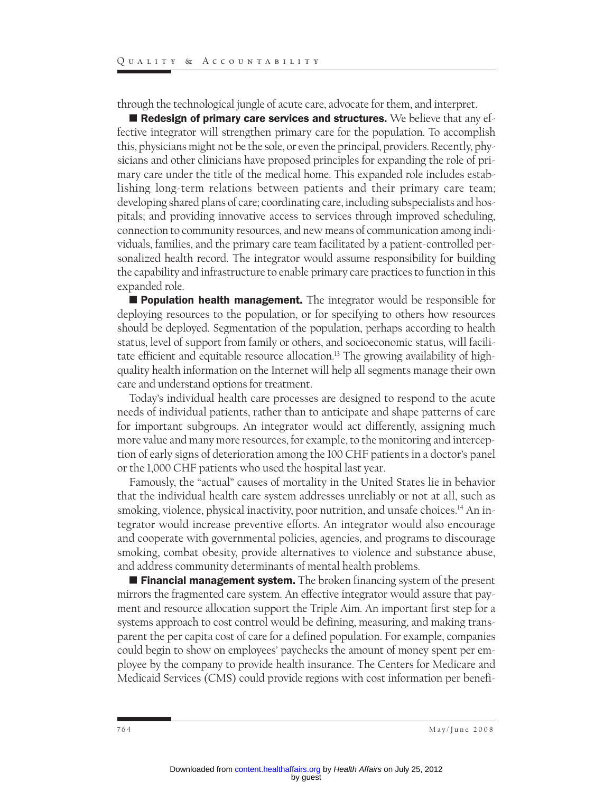through the technological jungle of acute care, advocate for them, and interpret.

**E** Redesign of primary care services and structures. We believe that any effective integrator will strengthen primary care for the population. To accomplish this, physicians might not be the sole, or even the principal, providers. Recently, physicians and other clinicians have proposed principles for expanding the role of primary care under the title of the medical home. This expanded role includes establishing long-term relations between patients and their primary care team; developing shared plans of care; coordinating care, including subspecialists and hospitals; and providing innovative access to services through improved scheduling, connection to community resources, and new means of communication among individuals, families, and the primary care team facilitated by a patient-controlled personalized health record. The integrator would assume responsibility for building the capability and infrastructure to enable primary care practices to function in this expanded role.

**E** Population health management. The integrator would be responsible for deploying resources to the population, or for specifying to others how resources should be deployed. Segmentation of the population, perhaps according to health status, level of support from family or others, and socioeconomic status, will facilitate efficient and equitable resource allocation.<sup>13</sup> The growing availability of highquality health information on the Internet will help all segments manage their own care and understand options for treatment.

Today's individual health care processes are designed to respond to the acute needs of individual patients, rather than to anticipate and shape patterns of care for important subgroups. An integrator would act differently, assigning much more value and many more resources, for example, to the monitoring and interception of early signs of deterioration among the 100 CHF patients in a doctor's panel or the 1,000 CHF patients who used the hospital last year.

Famously, the "actual" causes of mortality in the United States lie in behavior that the individual health care system addresses unreliably or not at all, such as smoking, violence, physical inactivity, poor nutrition, and unsafe choices.<sup>14</sup> An integrator would increase preventive efforts. An integrator would also encourage and cooperate with governmental policies, agencies, and programs to discourage smoking, combat obesity, provide alternatives to violence and substance abuse, and address community determinants of mental health problems.

**Financial management system.** The broken financing system of the present mirrors the fragmented care system. An effective integrator would assure that payment and resource allocation support the Triple Aim. An important first step for a systems approach to cost control would be defining, measuring, and making transparent the per capita cost of care for a defined population. For example, companies could begin to show on employees' paychecks the amount of money spent per employee by the company to provide health insurance. The Centers for Medicare and Medicaid Services (CMS) could provide regions with cost information per benefi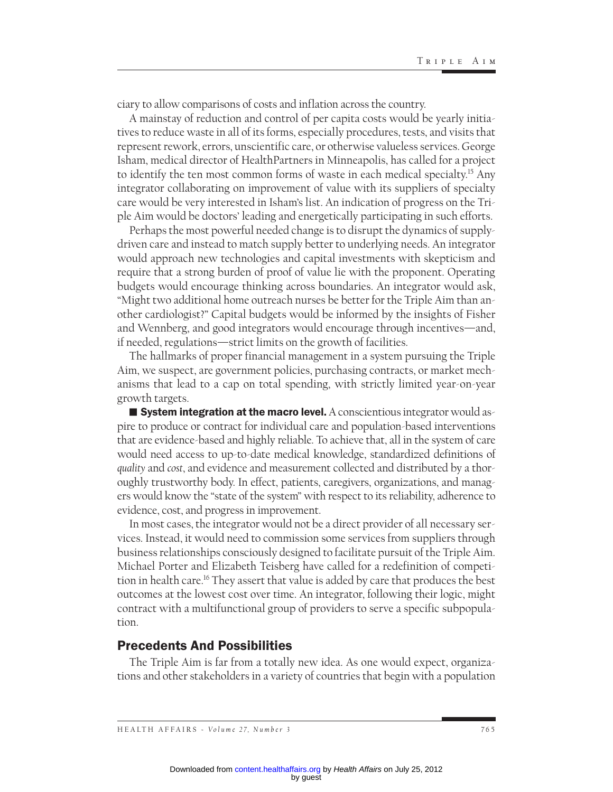ciary to allow comparisons of costs and inflation across the country.

A mainstay of reduction and control of per capita costs would be yearly initiatives to reduce waste in all of its forms, especially procedures, tests, and visits that represent rework, errors, unscientific care, or otherwise valueless services. George Isham, medical director of HealthPartners in Minneapolis, has called for a project to identify the ten most common forms of waste in each medical specialty.<sup>15</sup> Any integrator collaborating on improvement of value with its suppliers of specialty care would be very interested in Isham's list. An indication of progress on the Triple Aim would be doctors' leading and energetically participating in such efforts.

Perhaps the most powerful needed change is to disrupt the dynamics of supplydriven care and instead to match supply better to underlying needs. An integrator would approach new technologies and capital investments with skepticism and require that a strong burden of proof of value lie with the proponent. Operating budgets would encourage thinking across boundaries. An integrator would ask, "Might two additional home outreach nurses be better for the Triple Aim than another cardiologist?" Capital budgets would be informed by the insights of Fisher and Wennberg, and good integrators would encourage through incentives—and, if needed, regulations—strict limits on the growth of facilities.

The hallmarks of proper financial management in a system pursuing the Triple Aim, we suspect, are government policies, purchasing contracts, or market mechanisms that lead to a cap on total spending, with strictly limited year-on-year growth targets.

**E** System integration at the macro level. A conscientious integrator would aspire to produce or contract for individual care and population-based interventions that are evidence-based and highly reliable. To achieve that, all in the system of care would need access to up-to-date medical knowledge, standardized definitions of *quality* and *cost*, and evidence and measurement collected and distributed by a thoroughly trustworthy body. In effect, patients, caregivers, organizations, and managers would know the "state of the system" with respect to its reliability, adherence to evidence, cost, and progress in improvement.

In most cases, the integrator would not be a direct provider of all necessary services. Instead, it would need to commission some services from suppliers through business relationships consciously designed to facilitate pursuit of the Triple Aim. Michael Porter and Elizabeth Teisberg have called for a redefinition of competition in health care.16 They assert that value is added by care that produces the best outcomes at the lowest cost over time. An integrator, following their logic, might contract with a multifunctional group of providers to serve a specific subpopulation.

#### Precedents And Possibilities

The Triple Aim is far from a totally new idea. As one would expect, organizations and other stakeholders in a variety of countries that begin with a population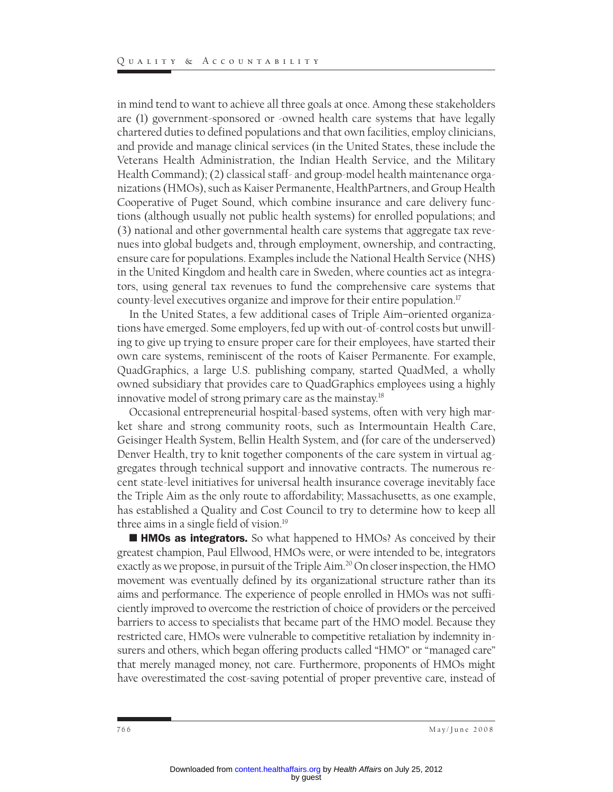in mind tend to want to achieve all three goals at once. Among these stakeholders are (1) government-sponsored or -owned health care systems that have legally chartered duties to defined populations and that own facilities, employ clinicians, and provide and manage clinical services (in the United States, these include the Veterans Health Administration, the Indian Health Service, and the Military Health Command); (2) classical staff- and group-model health maintenance organizations (HMOs), such as Kaiser Permanente, HealthPartners, and Group Health Cooperative of Puget Sound, which combine insurance and care delivery functions (although usually not public health systems) for enrolled populations; and (3) national and other governmental health care systems that aggregate tax revenues into global budgets and, through employment, ownership, and contracting, ensure care for populations. Examples include the National Health Service (NHS) in the United Kingdom and health care in Sweden, where counties act as integrators, using general tax revenues to fund the comprehensive care systems that county-level executives organize and improve for their entire population.17

In the United States, a few additional cases of Triple Aim–oriented organizations have emerged. Some employers, fed up with out-of-control costs but unwilling to give up trying to ensure proper care for their employees, have started their own care systems, reminiscent of the roots of Kaiser Permanente. For example, QuadGraphics, a large U.S. publishing company, started QuadMed, a wholly owned subsidiary that provides care to QuadGraphics employees using a highly innovative model of strong primary care as the mainstay.18

Occasional entrepreneurial hospital-based systems, often with very high market share and strong community roots, such as Intermountain Health Care, Geisinger Health System, Bellin Health System, and (for care of the underserved) Denver Health, try to knit together components of the care system in virtual aggregates through technical support and innovative contracts. The numerous recent state-level initiatives for universal health insurance coverage inevitably face the Triple Aim as the only route to affordability; Massachusetts, as one example, has established a Quality and Cost Council to try to determine how to keep all three aims in a single field of vision.<sup>19</sup>

**HMOs as integrators.** So what happened to HMOs? As conceived by their greatest champion, Paul Ellwood, HMOs were, or were intended to be, integrators exactly as we propose, in pursuit of the Triple Aim.<sup>20</sup> On closer inspection, the HMO movement was eventually defined by its organizational structure rather than its aims and performance. The experience of people enrolled in HMOs was not sufficiently improved to overcome the restriction of choice of providers or the perceived barriers to access to specialists that became part of the HMO model. Because they restricted care, HMOs were vulnerable to competitive retaliation by indemnity insurers and others, which began offering products called "HMO" or "managed care" that merely managed money, not care. Furthermore, proponents of HMOs might have overestimated the cost-saving potential of proper preventive care, instead of

766 May/June 2008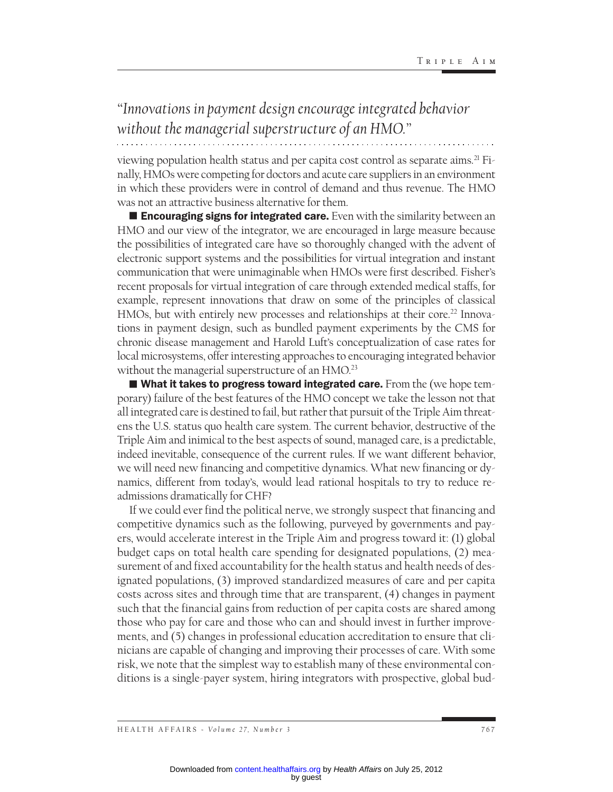## *"Innovations in payment design encourage integrated behavior without the managerial superstructure of an HMO."*

viewing population health status and per capita cost control as separate aims.<sup>21</sup> Finally, HMOs were competing for doctors and acute care suppliers in an environment in which these providers were in control of demand and thus revenue. The HMO

was not an attractive business alternative for them. **Encouraging signs for integrated care.** Even with the similarity between an HMO and our view of the integrator, we are encouraged in large measure because the possibilities of integrated care have so thoroughly changed with the advent of electronic support systems and the possibilities for virtual integration and instant communication that were unimaginable when HMOs were first described. Fisher's recent proposals for virtual integration of care through extended medical staffs, for example, represent innovations that draw on some of the principles of classical HMOs, but with entirely new processes and relationships at their core.<sup>22</sup> Innovations in payment design, such as bundled payment experiments by the CMS for chronic disease management and Harold Luft's conceptualization of case rates for local microsystems, offer interesting approaches to encouraging integrated behavior without the managerial superstructure of an HMO.<sup>23</sup>

 $\blacksquare$  What it takes to progress toward integrated care. From the (we hope temporary) failure of the best features of the HMO concept we take the lesson not that all integrated care is destined to fail, but rather that pursuit of the Triple Aim threatens the U.S. status quo health care system. The current behavior, destructive of the Triple Aim and inimical to the best aspects of sound, managed care, is a predictable, indeed inevitable, consequence of the current rules. If we want different behavior, we will need new financing and competitive dynamics. What new financing or dynamics, different from today's, would lead rational hospitals to try to reduce readmissions dramatically for CHF?

If we could ever find the political nerve, we strongly suspect that financing and competitive dynamics such as the following, purveyed by governments and payers, would accelerate interest in the Triple Aim and progress toward it: (1) global budget caps on total health care spending for designated populations, (2) measurement of and fixed accountability for the health status and health needs of designated populations, (3) improved standardized measures of care and per capita costs across sites and through time that are transparent, (4) changes in payment such that the financial gains from reduction of per capita costs are shared among those who pay for care and those who can and should invest in further improvements, and (5) changes in professional education accreditation to ensure that clinicians are capable of changing and improving their processes of care. With some risk, we note that the simplest way to establish many of these environmental conditions is a single-payer system, hiring integrators with prospective, global bud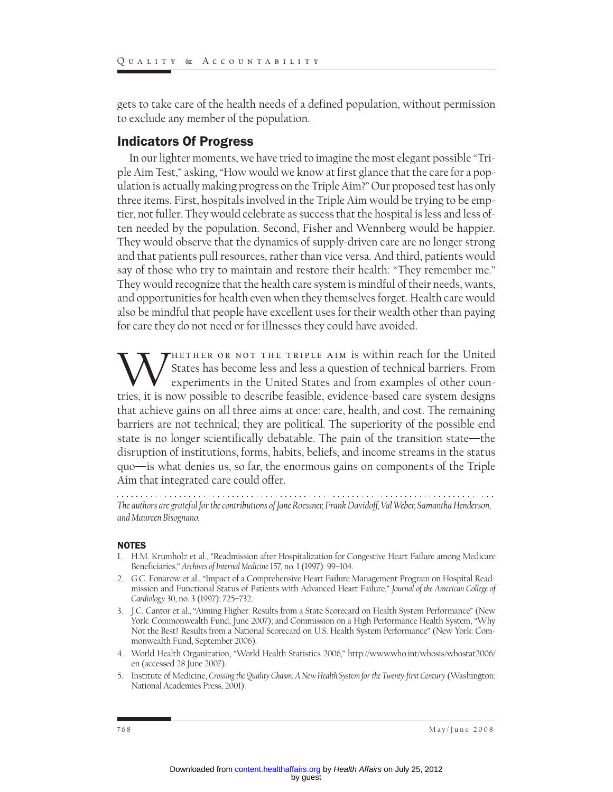gets to take care of the health needs of a defined population, without permission to exclude any member of the population.

#### Indicators Of Progress

In our lighter moments, we have tried to imagine the most elegant possible "Triple Aim Test," asking, "How would we know at first glance that the care for a population is actually making progress on the Triple Aim?" Our proposed test has only three items. First, hospitals involved in the Triple Aim would be trying to be emptier, not fuller. They would celebrate as success that the hospital is less and less often needed by the population. Second, Fisher and Wennberg would be happier. They would observe that the dynamics of supply-driven care are no longer strong and that patients pull resources, rather than vice versa. And third, patients would say of those who try to maintain and restore their health: "They remember me." They would recognize that the health care system is mindful of their needs, wants, and opportunities for health even when they themselves forget. Health care would also be mindful that people have excellent uses for their wealth other than paying for care they do not need or for illnesses they could have avoided.

WHETHER OR NOT THE TRIPLE AIM is within reach for the United<br>experiments in the United States and from examples of other coun-<br>tries it is now possible to describe feasible evidence-based care system designs States has become less and less a question of technical barriers. From experiments in the United States and from examples of other countries, it is now possible to describe feasible, evidence-based care system designs that achieve gains on all three aims at once: care, health, and cost. The remaining barriers are not technical; they are political. The superiority of the possible end state is no longer scientifically debatable. The pain of the transition state—the disruption of institutions, forms, habits, beliefs, and income streams in the status quo—is what denies us, so far, the enormous gains on components of the Triple Aim that integrated care could offer.

*The authors are grateful for the contributions of Jane Roessner, Frank Davidoff, Val Weber, Samantha Henderson, and Maureen Bisognano.*

#### NOTES

- 1. H.M. Krumholz et al., "Readmission after Hospitalization for Congestive Heart Failure among Medicare Beneficiaries," *Archives of Internal Medicine* 157, no. 1 (1997): 99–104.
- 2. G.C. Fonarow et al., "Impact of a Comprehensive Heart Failure Management Program on Hospital Readmission and Functional Status of Patients with Advanced Heart Failure," *Journal of the American College of Cardiology* 30, no. 3 (1997): 725–732.
- 3. J.C. Cantor et al., "Aiming Higher: Results from a State Scorecard on Health System Performance" (New York: Commonwealth Fund, June 2007); and Commission on a High Performance Health System, "Why Not the Best? Results from a National Scorecard on U.S. Health System Performance" (New York: Commonwealth Fund, September 2006).
- 4. World Health Organization, "World Health Statistics 2006," http://www.who.int/whosis/whostat2006/ en (accessed 28 June 2007).
- 5. Institute of Medicine, *Crossing the Quality Chasm: A New Health System for the Twenty-first Century* (Washington: National Academies Press, 2001).